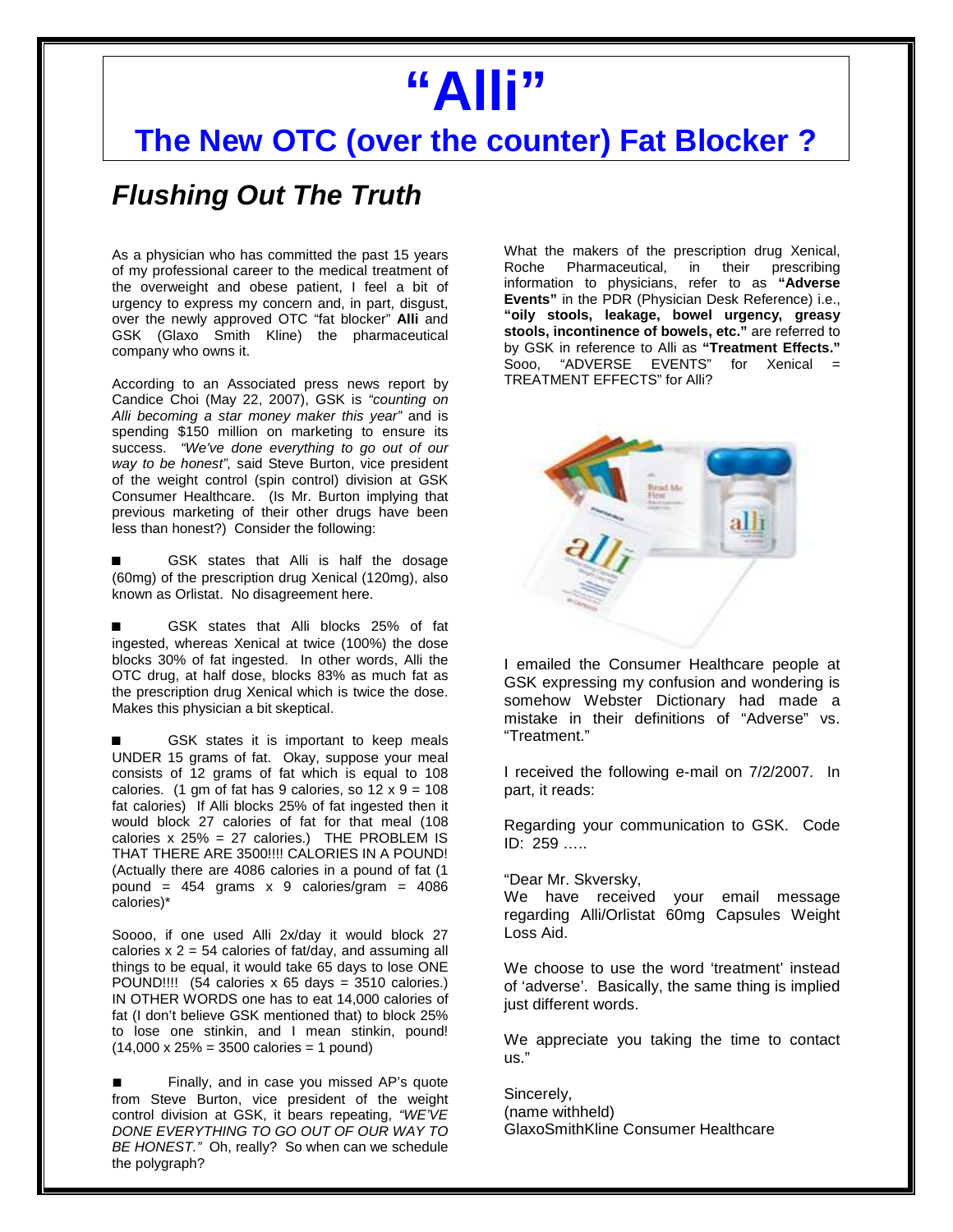## **"Alli"**

## **The New OTC (over the counter) Fat Blocker ?**

## **Flushing Out The Truth**

As a physician who has committed the past 15 years of my professional career to the medical treatment of the overweight and obese patient, I feel a bit of urgency to express my concern and, in part, disgust, over the newly approved OTC "fat blocker" **Alli** and GSK (Glaxo Smith Kline) the pharmaceutical company who owns it.

According to an Associated press news report by Candice Choi (May 22, 2007), GSK is "counting on Alli becoming a star money maker this year" and is spending \$150 million on marketing to ensure its success. "We've done everything to go out of our way to be honest", said Steve Burton, vice president of the weight control (spin control) division at GSK Consumer Healthcare. (Is Mr. Burton implying that previous marketing of their other drugs have been less than honest?) Consider the following:

GSK states that Alli is half the dosage (60mg) of the prescription drug Xenical (120mg), also known as Orlistat. No disagreement here.

GSK states that Alli blocks 25% of fat ingested, whereas Xenical at twice (100%) the dose blocks 30% of fat ingested. In other words, Alli the OTC drug, at half dose, blocks 83% as much fat as the prescription drug Xenical which is twice the dose. Makes this physician a bit skeptical.

GSK states it is important to keep meals UNDER 15 grams of fat. Okay, suppose your meal consists of 12 grams of fat which is equal to 108 calories. (1 gm of fat has 9 calories, so  $12 \times 9 = 108$ fat calories) If Alli blocks 25% of fat ingested then it would block 27 calories of fat for that meal (108 calories x 25% = 27 calories.) THE PROBLEM IS THAT THERE ARE 3500!!!! CALORIES IN A POUND! (Actually there are 4086 calories in a pound of fat (1 pound =  $454$  grams x 9 calories/gram =  $4086$ calories)\*

Soooo, if one used Alli 2x/day it would block 27 calories  $x$  2 = 54 calories of fat/day, and assuming all things to be equal, it would take 65 days to lose ONE POUND!!!! (54 calories x 65 days = 3510 calories.) IN OTHER WORDS one has to eat 14,000 calories of fat (I don't believe GSK mentioned that) to block 25% to lose one stinkin, and I mean stinkin, pound!  $(14,000 \times 25\% = 3500 \text{ calories} = 1 \text{ pound})$ 

■ Finally, and in case you missed AP's quote from Steve Burton, vice president of the weight control division at GSK, it bears repeating, "WE'VE DONE EVERYTHING TO GO OUT OF OUR WAY TO BE HONEST." Oh, really? So when can we schedule the polygraph?

What the makers of the prescription drug Xenical, Roche Pharmaceutical, in their prescribing information to physicians, refer to as **"Adverse Events"** in the PDR (Physician Desk Reference) i.e., **"oily stools, leakage, bowel urgency, greasy stools, incontinence of bowels, etc."** are referred to by GSK in reference to Alli as **"Treatment Effects."**  Sooo, "ADVERSE EVENTS" for Xenical = TREATMENT EFFECTS" for Alli?



I emailed the Consumer Healthcare people at GSK expressing my confusion and wondering is somehow Webster Dictionary had made a mistake in their definitions of "Adverse" vs. "Treatment."

I received the following e-mail on 7/2/2007. In part, it reads:

Regarding your communication to GSK. Code ID: 259 …..

"Dear Mr. Skversky,

We have received your email message regarding Alli/Orlistat 60mg Capsules Weight Loss Aid.

We choose to use the word 'treatment' instead of 'adverse'. Basically, the same thing is implied just different words.

We appreciate you taking the time to contact us."

Sincerely, (name withheld) GlaxoSmithKline Consumer Healthcare